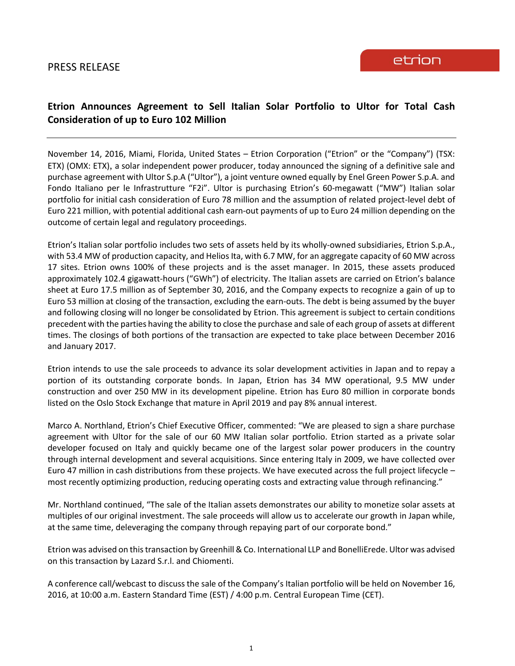## PRESS RELEASE

# **Etrion Announces Agreement to Sell Italian Solar Portfolio to Ultor for Total Cash Consideration of up to Euro 102 Million**

November 14, 2016, Miami, Florida, United States – Etrion Corporation ("Etrion" or the "Company") (TSX: ETX) (OMX: ETX), a solar independent power producer, today announced the signing of a definitive sale and purchase agreement with Ultor S.p.A ("Ultor"), a joint venture owned equally by Enel Green Power S.p.A. and Fondo Italiano per le Infrastrutture "F2i". Ultor is purchasing Etrion's 60-megawatt ("MW") Italian solar portfolio for initial cash consideration of Euro 78 million and the assumption of related project-level debt of Euro 221 million, with potential additional cash earn-out payments of up to Euro 24 million depending on the outcome of certain legal and regulatory proceedings.

Etrion's Italian solar portfolio includes two sets of assets held by its wholly-owned subsidiaries, Etrion S.p.A., with 53.4 MW of production capacity, and Helios Ita, with 6.7 MW, for an aggregate capacity of 60 MW across 17 sites. Etrion owns 100% of these projects and is the asset manager. In 2015, these assets produced approximately 102.4 gigawatt-hours ("GWh") of electricity. The Italian assets are carried on Etrion's balance sheet at Euro 17.5 million as of September 30, 2016, and the Company expects to recognize a gain of up to Euro 53 million at closing of the transaction, excluding the earn-outs. The debt is being assumed by the buyer and following closing will no longer be consolidated by Etrion. This agreement is subject to certain conditions precedent with the parties having the ability to close the purchase and sale of each group of assets at different times. The closings of both portions of the transaction are expected to take place between December 2016 and January 2017.

Etrion intends to use the sale proceeds to advance its solar development activities in Japan and to repay a portion of its outstanding corporate bonds. In Japan, Etrion has 34 MW operational, 9.5 MW under construction and over 250 MW in its development pipeline. Etrion has Euro 80 million in corporate bonds listed on the Oslo Stock Exchange that mature in April 2019 and pay 8% annual interest.

Marco A. Northland, Etrion's Chief Executive Officer, commented: "We are pleased to sign a share purchase agreement with Ultor for the sale of our 60 MW Italian solar portfolio. Etrion started as a private solar developer focused on Italy and quickly became one of the largest solar power producers in the country through internal development and several acquisitions. Since entering Italy in 2009, we have collected over Euro 47 million in cash distributions from these projects. We have executed across the full project lifecycle – most recently optimizing production, reducing operating costs and extracting value through refinancing."

Mr. Northland continued, "The sale of the Italian assets demonstrates our ability to monetize solar assets at multiples of our original investment. The sale proceeds will allow us to accelerate our growth in Japan while, at the same time, deleveraging the company through repaying part of our corporate bond."

Etrion was advised on this transaction by Greenhill & Co. International LLP and BonelliErede. Ultor was advised on this transaction by Lazard S.r.l. and Chiomenti.

A conference call/webcast to discuss the sale of the Company's Italian portfolio will be held on November 16, 2016, at 10:00 a.m. Eastern Standard Time (EST) / 4:00 p.m. Central European Time (CET).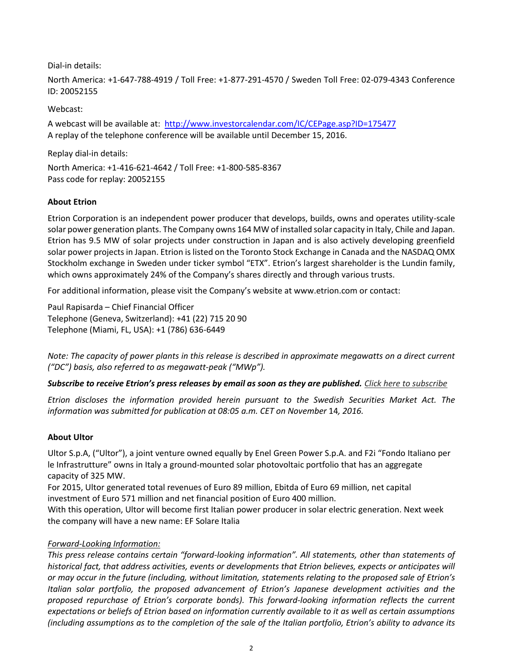Dial-in details:

```
North America: +1-647-788-4919 / Toll Free: +1-877-291-4570 / Sweden Toll Free: 02-079-4343 Conference 
ID: 20052155
```
Webcast:

A webcast will be available at:<http://www.investorcalendar.com/IC/CEPage.asp?ID=175477> A replay of the telephone conference will be available until December 15, 2016.

Replay dial-in details:

North America: +1-416-621-4642 / Toll Free: +1-800-585-8367 Pass code for replay: 20052155

## **About Etrion**

Etrion Corporation is an independent power producer that develops, builds, owns and operates utility-scale solar power generation plants. The Company owns 164 MW of installed solar capacity in Italy, Chile and Japan. Etrion has 9.5 MW of solar projects under construction in Japan and is also actively developing greenfield solar power projects in Japan. Etrion is listed on the Toronto Stock Exchange in Canada and the NASDAQ OMX Stockholm exchange in Sweden under ticker symbol "ETX". Etrion's largest shareholder is the Lundin family, which owns approximately 24% of the Company's shares directly and through various trusts.

For additional information, please visit the Company's website at www.etrion.com or contact:

Paul Rapisarda – Chief Financial Officer Telephone (Geneva, Switzerland): +41 (22) 715 20 90 Telephone (Miami, FL, USA): +1 (786) 636-6449

*Note: The capacity of power plants in this release is described in approximate megawatts on a direct current ("DC") basis, also referred to as megawatt-peak ("MWp").*

*Subscribe to receive Etrion's press releases by email as soon as they are published. [Click here to subscribe](https://www.etrion.com/press_release_subscribe.php)*

*Etrion discloses the information provided herein pursuant to the Swedish Securities Market Act. The information was submitted for publication at 08:05 a.m. CET on November* 14*, 2016.*

### **About Ultor**

Ultor S.p.A, ("Ultor"), a joint venture owned equally by Enel Green Power S.p.A. and F2i "Fondo Italiano per le Infrastrutture" owns in Italy a ground-mounted solar photovoltaic portfolio that has an aggregate capacity of 325 MW.

For 2015, Ultor generated total revenues of Euro 89 million, Ebitda of Euro 69 million, net capital investment of Euro 571 million and net financial position of Euro 400 million.

With this operation, Ultor will become first Italian power producer in solar electric generation. Next week the company will have a new name: EF Solare Italia

### *Forward-Looking Information:*

*This press release contains certain "forward-looking information". All statements, other than statements of historical fact, that address activities, events or developments that Etrion believes, expects or anticipates will or may occur in the future (including, without limitation, statements relating to the proposed sale of Etrion's Italian solar portfolio, the proposed advancement of Etrion's Japanese development activities and the proposed repurchase of Etrion's corporate bonds). This forward-looking information reflects the current expectations or beliefs of Etrion based on information currently available to it as well as certain assumptions (including assumptions as to the completion of the sale of the Italian portfolio, Etrion's ability to advance its*